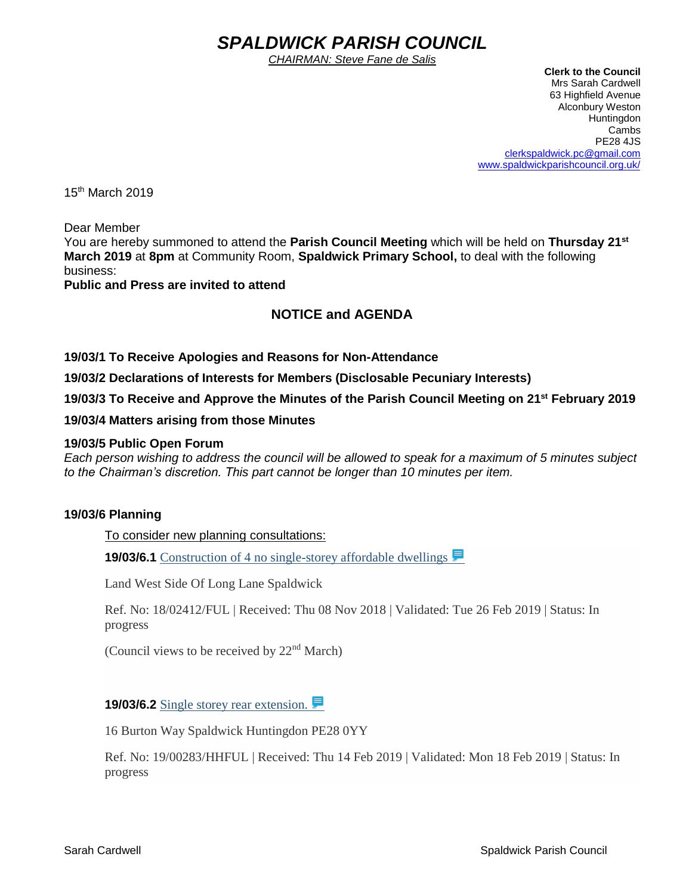# *SPALDWICK PARISH COUNCIL*

*CHAIRMAN: Steve Fane de Salis*

 **Clerk to the Council** Mrs Sarah Cardwell 63 Highfield Avenue Alconbury Weston Huntingdon Cambs PE28 4JS [clerkspaldwick.pc@gmail.com](mailto:clerkspaldwick.pc@gmail.com) [www.spaldwickparishcouncil.org.uk/](http://www.spaldwickparishcouncil.org.uk/)

15<sup>th</sup> March 2019

Dear Member

You are hereby summoned to attend the **Parish Council Meeting** which will be held on **Thursday 21st March 2019** at **8pm** at Community Room, **Spaldwick Primary School,** to deal with the following business:

**Public and Press are invited to attend**

# **NOTICE and AGENDA**

**19/03/1 To Receive Apologies and Reasons for Non-Attendance**

**19/03/2 Declarations of Interests for Members (Disclosable Pecuniary Interests)**

**19/03/3 To Receive and Approve the Minutes of the Parish Council Meeting on 21st February 2019**

**19/03/4 Matters arising from those Minutes**

#### **19/03/5 Public Open Forum**

*Each person wishing to address the council will be allowed to speak for a maximum of 5 minutes subject to the Chairman's discretion. This part cannot be longer than 10 minutes per item.* 

## **19/03/6 Planning**

To consider new planning consultations:

**19/03/6.1** [Construction of 4 no single-storey affordable dwellings](https://publicaccess.huntingdonshire.gov.uk/online-applications/applicationDetails.do?keyVal=PHVR37IKHU600&activeTab=summary) **■** 

Land West Side Of Long Lane Spaldwick

Ref. No: 18/02412/FUL | Received: Thu 08 Nov 2018 | Validated: Tue 26 Feb 2019 | Status: In progress

(Council views to be received by  $22<sup>nd</sup> March$ )

**19/03/6.2** [Single storey rear extension.](https://publicaccess.huntingdonshire.gov.uk/online-applications/applicationDetails.do?keyVal=PMX031IKJO700&activeTab=summary) ■

16 Burton Way Spaldwick Huntingdon PE28 0YY

Ref. No: 19/00283/HHFUL | Received: Thu 14 Feb 2019 | Validated: Mon 18 Feb 2019 | Status: In progress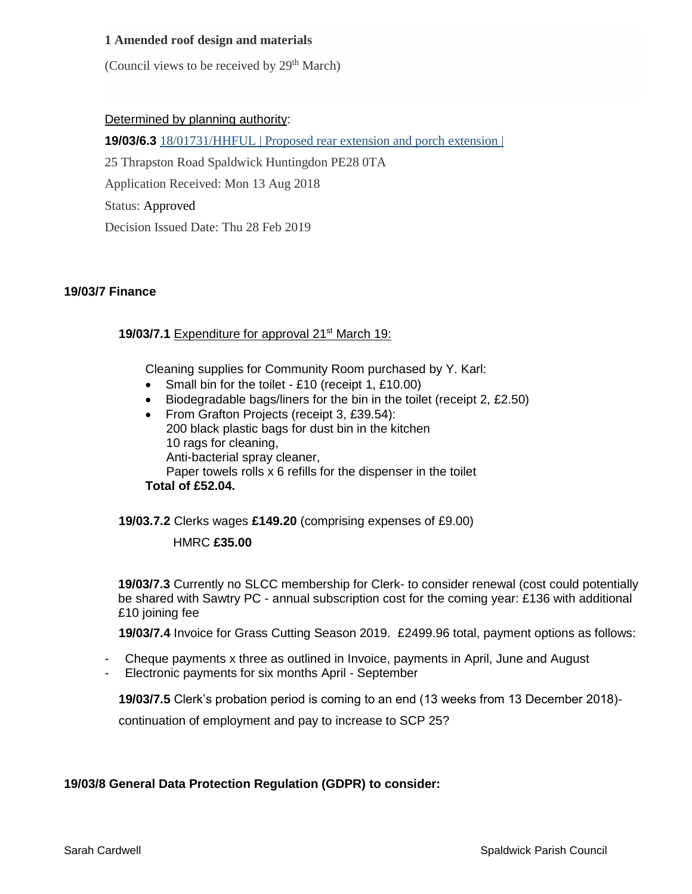## **1 Amended roof design and materials**

(Council views to be received by 29<sup>th</sup> March)

#### Determined by planning authority:

**19/03/6.3** 18/01731/HHFUL | Proposed rear extension and porch extension |

25 Thrapston Road Spaldwick Huntingdon PE28 0TA

Application Received: Mon 13 Aug 2018

Status: Approved

Decision Issued Date: Thu 28 Feb 2019

#### **19/03/7 Finance**

#### **19/03/7.1** Expenditure for approval 21<sup>st</sup> March 19:

Cleaning supplies for Community Room purchased by Y. Karl:

- Small bin for the toilet £10 (receipt 1, £10.00)
- Biodegradable bags/liners for the bin in the toilet (receipt 2, £2.50)
- From Grafton Projects (receipt 3, £39.54): 200 black plastic bags for dust bin in the kitchen 10 rags for cleaning, Anti-bacterial spray cleaner, Paper towels rolls x 6 refills for the dispenser in the toilet **Total of £52.04.**

**19/03.7.2** Clerks wages **£149.20** (comprising expenses of £9.00)

## HMRC **£35.00**

**19/03/7.3** Currently no SLCC membership for Clerk- to consider renewal (cost could potentially be shared with Sawtry PC - annual subscription cost for the coming year: £136 with additional £10 joining fee

 **19/03/7.4** Invoice for Grass Cutting Season 2019. £2499.96 total, payment options as follows:

- Cheque payments x three as outlined in Invoice, payments in April, June and August
- Electronic payments for six months April September

 **19/03/7.5** Clerk's probation period is coming to an end (13 weeks from 13 December 2018)-

continuation of employment and pay to increase to SCP 25?

#### **19/03/8 General Data Protection Regulation (GDPR) to consider:**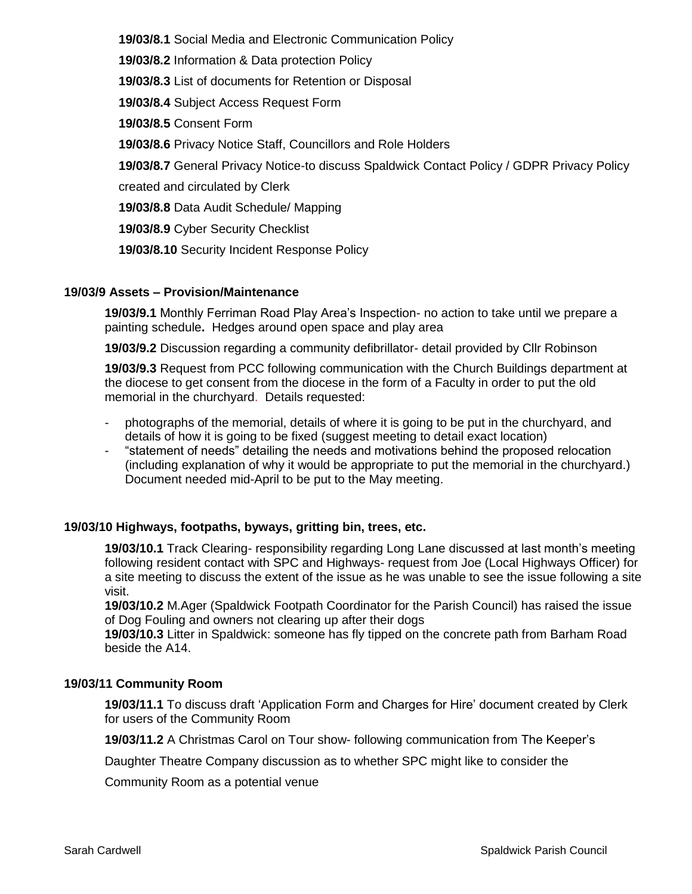**19/03/8.1** Social Media and Electronic Communication Policy

 **19/03/8.2** Information & Data protection Policy

 **19/03/8.3** List of documents for Retention or Disposal

 **19/03/8.4** Subject Access Request Form

 **19/03/8.5** Consent Form

 **19/03/8.6** Privacy Notice Staff, Councillors and Role Holders

 **19/03/8.7** General Privacy Notice-to discuss Spaldwick Contact Policy / GDPR Privacy Policy

created and circulated by Clerk

 **19/03/8.8** Data Audit Schedule/ Mapping

 **19/03/8.9** Cyber Security Checklist

 **19/03/8.10** Security Incident Response Policy

# **19/03/9 Assets – Provision/Maintenance**

**19/03/9.1** Monthly Ferriman Road Play Area's Inspection- no action to take until we prepare a painting schedule**.** Hedges around open space and play area

**19/03/9.2** Discussion regarding a community defibrillator- detail provided by Cllr Robinson

**19/03/9.3** Request from PCC following communication with the Church Buildings department at the diocese to get consent from the diocese in the form of a Faculty in order to put the old memorial in the churchyard. Details requested:

- photographs of the memorial, details of where it is going to be put in the churchyard, and details of how it is going to be fixed (suggest meeting to detail exact location)
- "statement of needs" detailing the needs and motivations behind the proposed relocation (including explanation of why it would be appropriate to put the memorial in the churchyard.) Document needed mid-April to be put to the May meeting.

# **19/03/10 Highways, footpaths, byways, gritting bin, trees, etc.**

**19/03/10.1** Track Clearing- responsibility regarding Long Lane discussed at last month's meeting following resident contact with SPC and Highways- request from Joe (Local Highways Officer) for a site meeting to discuss the extent of the issue as he was unable to see the issue following a site visit.

**19/03/10.2** M.Ager (Spaldwick Footpath Coordinator for the Parish Council) has raised the issue of Dog Fouling and owners not clearing up after their dogs

**19/03/10.3** Litter in Spaldwick: someone has fly tipped on the concrete path from Barham Road beside the A14.

# **19/03/11 Community Room**

**19/03/11.1** To discuss draft 'Application Form and Charges for Hire' document created by Clerk for users of the Community Room

**19/03/11.2** A Christmas Carol on Tour show- following communication from The Keeper's

Daughter Theatre Company discussion as to whether SPC might like to consider the

Community Room as a potential venue